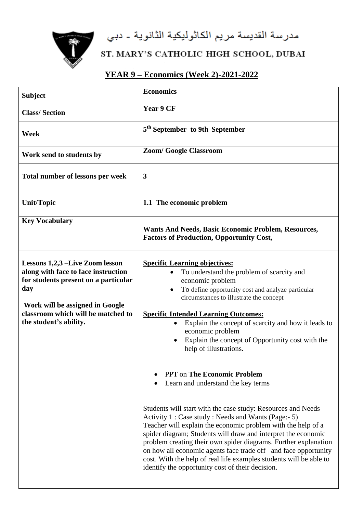مدرسة القديسة مريم الكاثوليكية الثانوية - دبي



## ST. MARY'S CATHOLIC HIGH SCHOOL, DUBAI

## **YEAR 9 – Economics (Week 2)-2021-2022**

| <b>Subject</b>                                                                                                                                                                                                                   | <b>Economics</b>                                                                                                                                                                                                                                                                                                                                                                                                                                                                                                     |
|----------------------------------------------------------------------------------------------------------------------------------------------------------------------------------------------------------------------------------|----------------------------------------------------------------------------------------------------------------------------------------------------------------------------------------------------------------------------------------------------------------------------------------------------------------------------------------------------------------------------------------------------------------------------------------------------------------------------------------------------------------------|
| <b>Class/Section</b>                                                                                                                                                                                                             | Year 9 CF                                                                                                                                                                                                                                                                                                                                                                                                                                                                                                            |
| Week                                                                                                                                                                                                                             | 5 <sup>th</sup> September to 9th September                                                                                                                                                                                                                                                                                                                                                                                                                                                                           |
| Work send to students by                                                                                                                                                                                                         | <b>Zoom/ Google Classroom</b>                                                                                                                                                                                                                                                                                                                                                                                                                                                                                        |
| <b>Total number of lessons per week</b>                                                                                                                                                                                          | 3                                                                                                                                                                                                                                                                                                                                                                                                                                                                                                                    |
| <b>Unit/Topic</b>                                                                                                                                                                                                                | 1.1 The economic problem                                                                                                                                                                                                                                                                                                                                                                                                                                                                                             |
| <b>Key Vocabulary</b>                                                                                                                                                                                                            | <b>Wants And Needs, Basic Economic Problem, Resources,</b><br><b>Factors of Production, Opportunity Cost,</b>                                                                                                                                                                                                                                                                                                                                                                                                        |
| <b>Lessons 1,2,3 – Live Zoom lesson</b><br>along with face to face instruction<br>for students present on a particular<br>day<br>Work will be assigned in Google<br>classroom which will be matched to<br>the student's ability. | <b>Specific Learning objectives:</b><br>To understand the problem of scarcity and<br>economic problem<br>To define opportunity cost and analyze particular<br>circumstances to illustrate the concept<br><b>Specific Intended Learning Outcomes:</b><br>Explain the concept of scarcity and how it leads to<br>economic problem<br>Explain the concept of Opportunity cost with the<br>$\bullet$<br>help of illustrations.                                                                                           |
|                                                                                                                                                                                                                                  | <b>PPT</b> on <b>The Economic Problem</b><br>Learn and understand the key terms                                                                                                                                                                                                                                                                                                                                                                                                                                      |
|                                                                                                                                                                                                                                  | Students will start with the case study: Resources and Needs<br>Activity 1 : Case study : Needs and Wants (Page:- 5)<br>Teacher will explain the economic problem with the help of a<br>spider diagram; Students will draw and interpret the economic<br>problem creating their own spider diagrams. Further explanation<br>on how all economic agents face trade off and face opportunity<br>cost. With the help of real life examples students will be able to<br>identify the opportunity cost of their decision. |